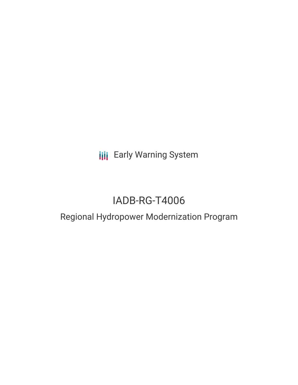**III** Early Warning System

# IADB-RG-T4006

## Regional Hydropower Modernization Program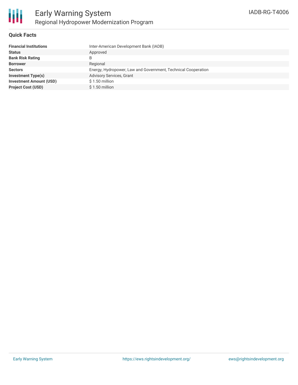

#### **Quick Facts**

| <b>Financial Institutions</b>  | Inter-American Development Bank (IADB)                        |
|--------------------------------|---------------------------------------------------------------|
| <b>Status</b>                  | Approved                                                      |
| <b>Bank Risk Rating</b>        | B                                                             |
| <b>Borrower</b>                | Regional                                                      |
| <b>Sectors</b>                 | Energy, Hydropower, Law and Government, Technical Cooperation |
| <b>Investment Type(s)</b>      | <b>Advisory Services, Grant</b>                               |
| <b>Investment Amount (USD)</b> | $$1.50$ million                                               |
| <b>Project Cost (USD)</b>      | $$1.50$ million                                               |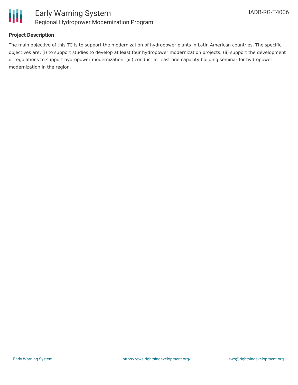

### **Project Description**

The main objective of this TC is to support the modernization of hydropower plants in Latin American countries. The specific objectives are: (i) to support studies to develop at least four hydropower modernization projects; (ii) support the development of regulations to support hydropower modernization; (iii) conduct at least one capacity building seminar for hydropower modernization in the region.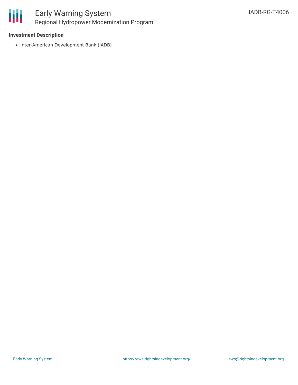

#### **Investment Description**

• Inter-American Development Bank (IADB)